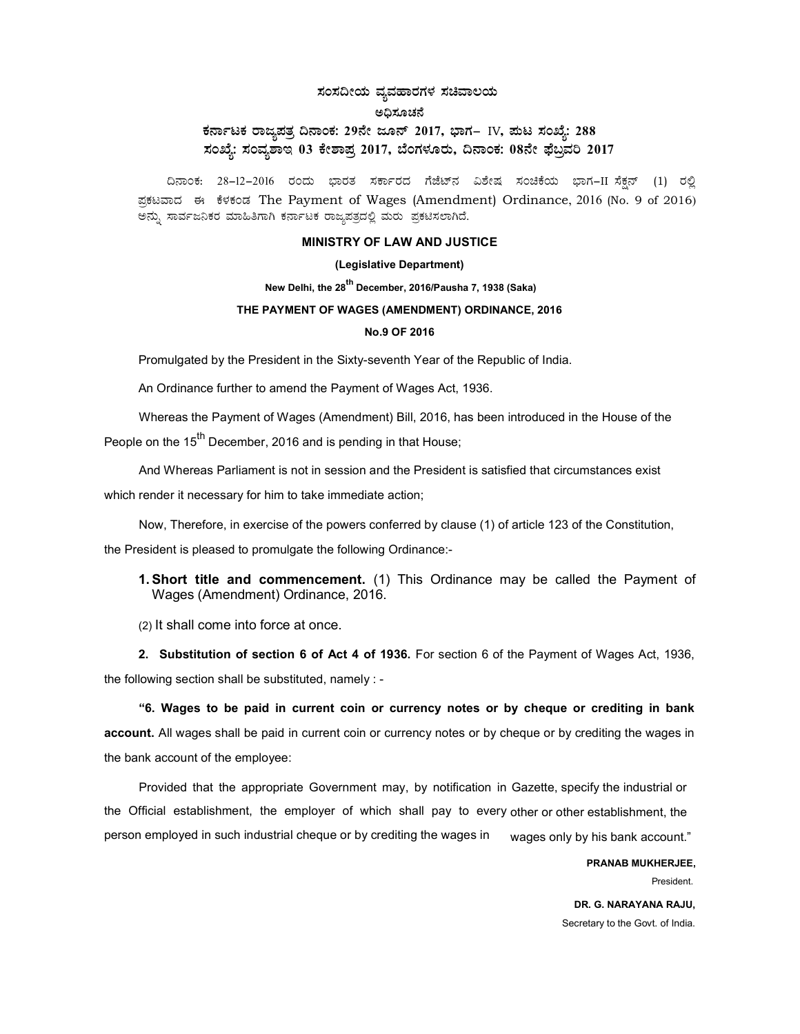# ಸಂಸದೀಯ ವ್ಯವಹಾರಗಳ ಸಚಿವಾಲಯ ಅಧಿಸೂಚನೆ ಕರ್ನಾಟಕ ರಾಜ್ಯಪತ್ರ ದಿನಾಂಕ: 29ನೇ ಜೂನ್ 2017, ಭಾಗ– IV, ಪುಟ ಸಂಖ್ಯೆ: 288 ಸಂಖ್ಯೆ: ಸಂವ್ನಶಾಇ 03 ಕೇಶಾಪ್ರ 2017, ಬೆಂಗಳೂರು, ದಿನಾಂಕ: 08ನೇ ಫೆಬ್ರವರಿ 2017

ದಿನಾಂಕ: 28-12-2016 ರಂದು ಭಾರತ ಸರ್ಕಾರದ ಗೆಜೆಟ್ನ ವಿಶೇಷ ಸಂಚಿಕೆಯ ಭಾಗ−II ಸೆಕನ್ (1) ರಲ್ಲಿ ಪ್ರಕಟವಾದ ಈ ಕೆಳಕಂಡ The Payment of Wages (Amendment) Ordinance, 2016 (No. 9 of 2016) ಅನ್ಸು ಸಾರ್ವಜನಿಕರ ಮಾಹಿತಿಗಾಗಿ ಕರ್ನಾಟಕ ರಾಜ್ಯಪತ್ರದಲ್ಲಿ ಮರು ಪ್ರಕಟಿಸಲಾಗಿದೆ.

### MINISTRY OF LAW AND JUSTICE

### (Legislative Department)

New Delhi, the 28<sup>th</sup> December, 2016/Pausha 7, 1938 (Saka)

#### THE PAYMENT OF WAGES (AMENDMENT) ORDINANCE, 2016

#### No.9 OF 2016

Promulgated by the President in the Sixty-seventh Year of the Republic of India.

An Ordinance further to amend the Payment of Wages Act, 1936.

Whereas the Payment of Wages (Amendment) Bill, 2016, has been introduced in the House of the People on the 15<sup>th</sup> December, 2016 and is pending in that House;

And Whereas Parliament is not in session and the President is satisfied that circumstances exist which render it necessary for him to take immediate action;

Now, Therefore, in exercise of the powers conferred by clause (1) of article 123 of the Constitution,

the President is pleased to promulgate the following Ordinance:-

1. Short title and commencement. (1) This Ordinance may be called the Payment of Wages (Amendment) Ordinance, 2016.

(2) It shall come into force at once.

2. Substitution of section 6 of Act 4 of 1936. For section 6 of the Payment of Wages Act, 1936, the following section shall be substituted, namely : -

"6. Wages to be paid in current coin or currency notes or by cheque or crediting in bank account. All wages shall be paid in current coin or currency notes or by cheque or by crediting the wages in the bank account of the employee:

Provided that the appropriate Government may, by notification in Gazette, specify the industrial or the Official establishment, the employer of which shall pay to every other or other establishment, the person employed in such industrial cheque or by crediting the wages in wages only by his bank account."

> PRANAB MUKHERJEE, President.

DR. G. NARAYANA RAJU, Secretary to the Govt. of India.